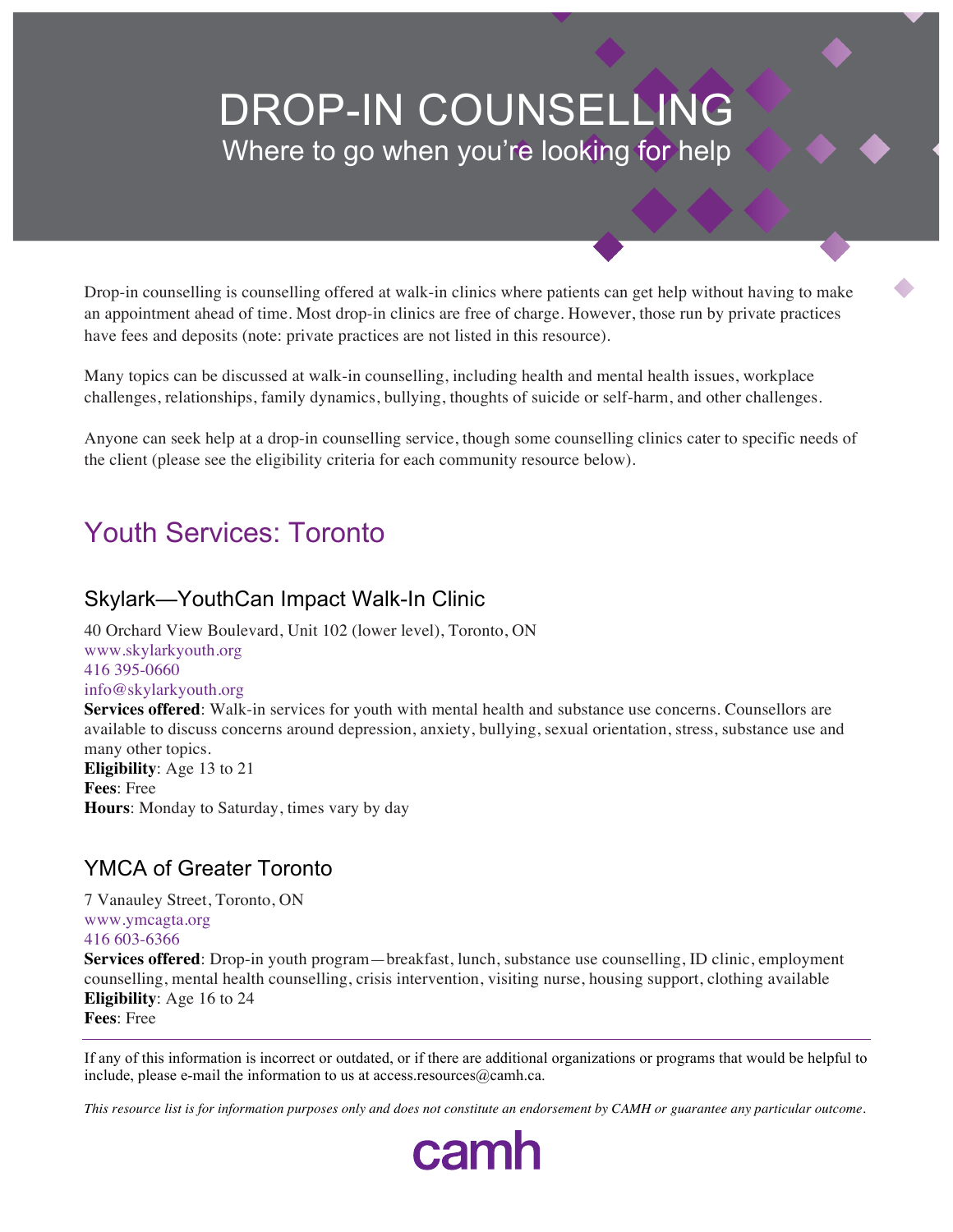# DROP-IN COUNSELLING Where to go when you're looking for help

Drop-in counselling is counselling offered at walk-in clinics where patients can get help without having to make an appointment ahead of time. Most drop-in clinics are free of charge. However, those run by private practices have fees and deposits (note: private practices are not listed in this resource).

Many topics can be discussed at walk-in counselling, including health and mental health issues, workplace challenges, relationships, family dynamics, bullying, thoughts of suicide or self-harm, and other challenges.

Anyone can seek help at a drop-in counselling service, though some counselling clinics cater to specific needs of the client (please see the eligibility criteria for each community resource below).

## Youth Services: Toronto

#### Skylark—YouthCan Impact Walk-In Clinic

40 Orchard View Boulevard, Unit 102 (lower level), Toronto, ON www.skylarkyouth.org 416 395-0660 info@skylarkyouth.org **Services offered**: Walk-in services for youth with mental health and substance use concerns. Counsellors are available to discuss concerns around depression, anxiety, bullying, sexual orientation, stress, substance use and many other topics. **Eligibility**: Age 13 to 21 **Fees**: Free

**Hours**: Monday to Saturday, times vary by day

### YMCA of Greater Toronto

7 Vanauley Street, Toronto, ON www.ymcagta.org 416 603-6366

**Services offered**: Drop-in youth program—breakfast, lunch, substance use counselling, ID clinic, employment counselling, mental health counselling, crisis intervention, visiting nurse, housing support, clothing available **Eligibility**: Age 16 to 24

**Fees**: Free

If any of this information is incorrect or outdated, or if there are additional organizations or programs that would be helpful to include, please e-mail the information to us at access.resources $@$ camh.ca.

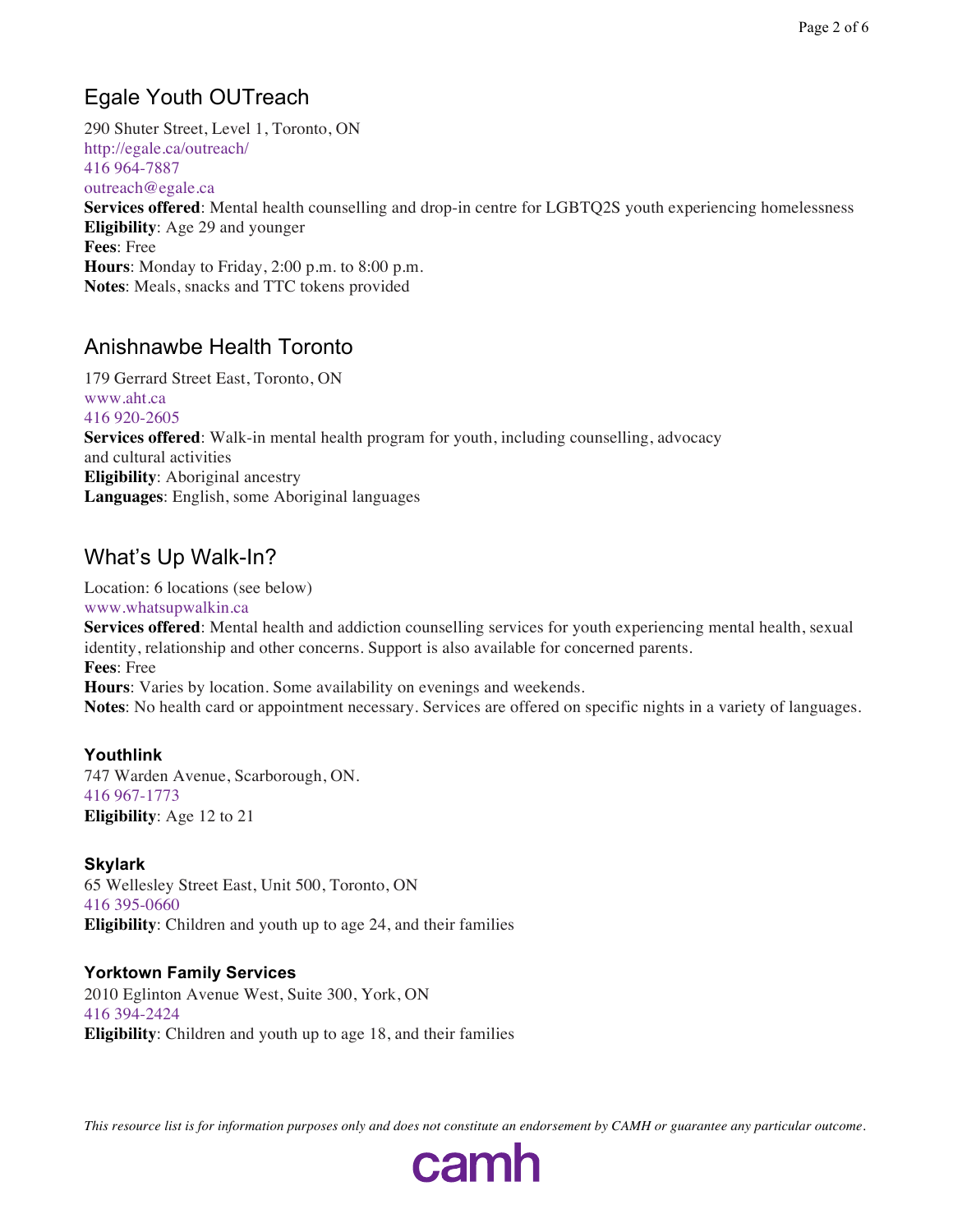## Egale Youth OUTreach

290 Shuter Street, Level 1, Toronto, ON http://egale.ca/outreach/ 416 964-7887 outreach@egale.ca **Services offered**: Mental health counselling and drop-in centre for LGBTQ2S youth experiencing homelessness **Eligibility**: Age 29 and younger **Fees**: Free **Hours**: Monday to Friday, 2:00 p.m. to 8:00 p.m. **Notes**: Meals, snacks and TTC tokens provided

### Anishnawbe Health Toronto

179 Gerrard Street East, Toronto, ON www.aht.ca 416 920-2605 **Services offered**: Walk-in mental health program for youth, including counselling, advocacy and cultural activities **Eligibility**: Aboriginal ancestry **Languages**: English, some Aboriginal languages

## What's Up Walk-In?

Location: 6 locations (see below) www.whatsupwalkin.ca

**Services offered**: Mental health and addiction counselling services for youth experiencing mental health, sexual identity, relationship and other concerns. Support is also available for concerned parents. **Fees**: Free

**Hours**: Varies by location. Some availability on evenings and weekends. **Notes**: No health card or appointment necessary. Services are offered on specific nights in a variety of languages.

#### **Youthlink**

747 Warden Avenue, Scarborough, ON. 416 967-1773 **Eligibility**: Age 12 to 21

#### **Skylark**

65 Wellesley Street East, Unit 500, Toronto, ON 416 395-0660 **Eligibility**: Children and youth up to age 24, and their families

#### **Yorktown Family Services**

2010 Eglinton Avenue West, Suite 300, York, ON 416 394-2424 **Eligibility**: Children and youth up to age 18, and their families

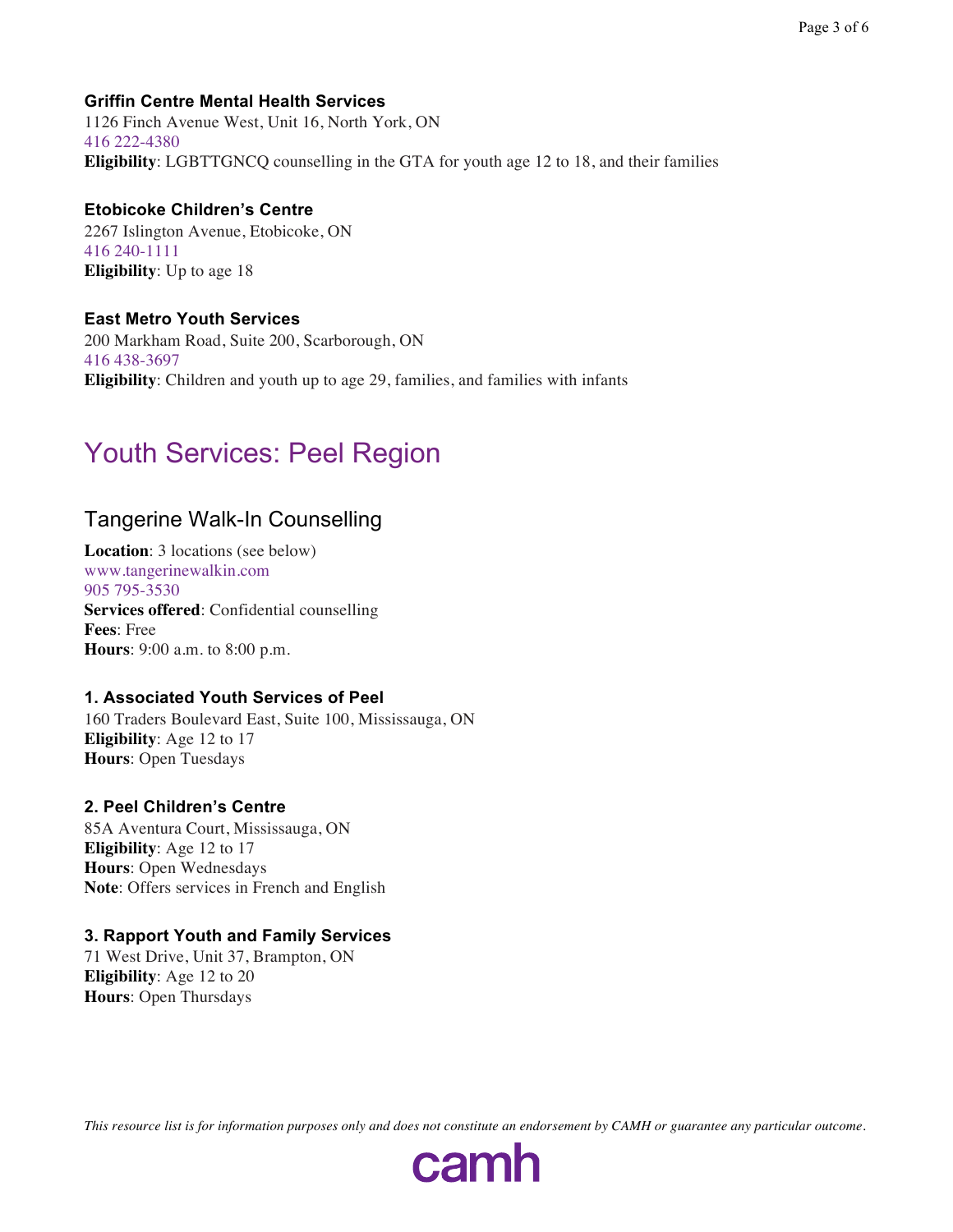#### **Griffin Centre Mental Health Services**

1126 Finch Avenue West, Unit 16, North York, ON 416 222-4380 **Eligibility**: LGBTTGNCQ counselling in the GTA for youth age 12 to 18, and their families

#### **Etobicoke Children's Centre**

2267 Islington Avenue, Etobicoke, ON 416 240-1111 **Eligibility**: Up to age 18

#### **East Metro Youth Services**

200 Markham Road, Suite 200, Scarborough, ON 416 438-3697 **Eligibility**: Children and youth up to age 29, families, and families with infants

## Youth Services: Peel Region

### Tangerine Walk-In Counselling

**Location**: 3 locations (see below) www.tangerinewalkin.com 905 795-3530 **Services offered**: Confidential counselling **Fees**: Free **Hours**: 9:00 a.m. to 8:00 p.m.

#### **1. Associated Youth Services of Peel**

160 Traders Boulevard East, Suite 100, Mississauga, ON **Eligibility**: Age 12 to 17 **Hours**: Open Tuesdays

#### **2. Peel Children's Centre**

85A Aventura Court, Mississauga, ON **Eligibility**: Age 12 to 17 **Hours**: Open Wednesdays **Note**: Offers services in French and English

#### **3. Rapport Youth and Family Services**

71 West Drive, Unit 37, Brampton, ON **Eligibility**: Age 12 to 20 **Hours**: Open Thursdays

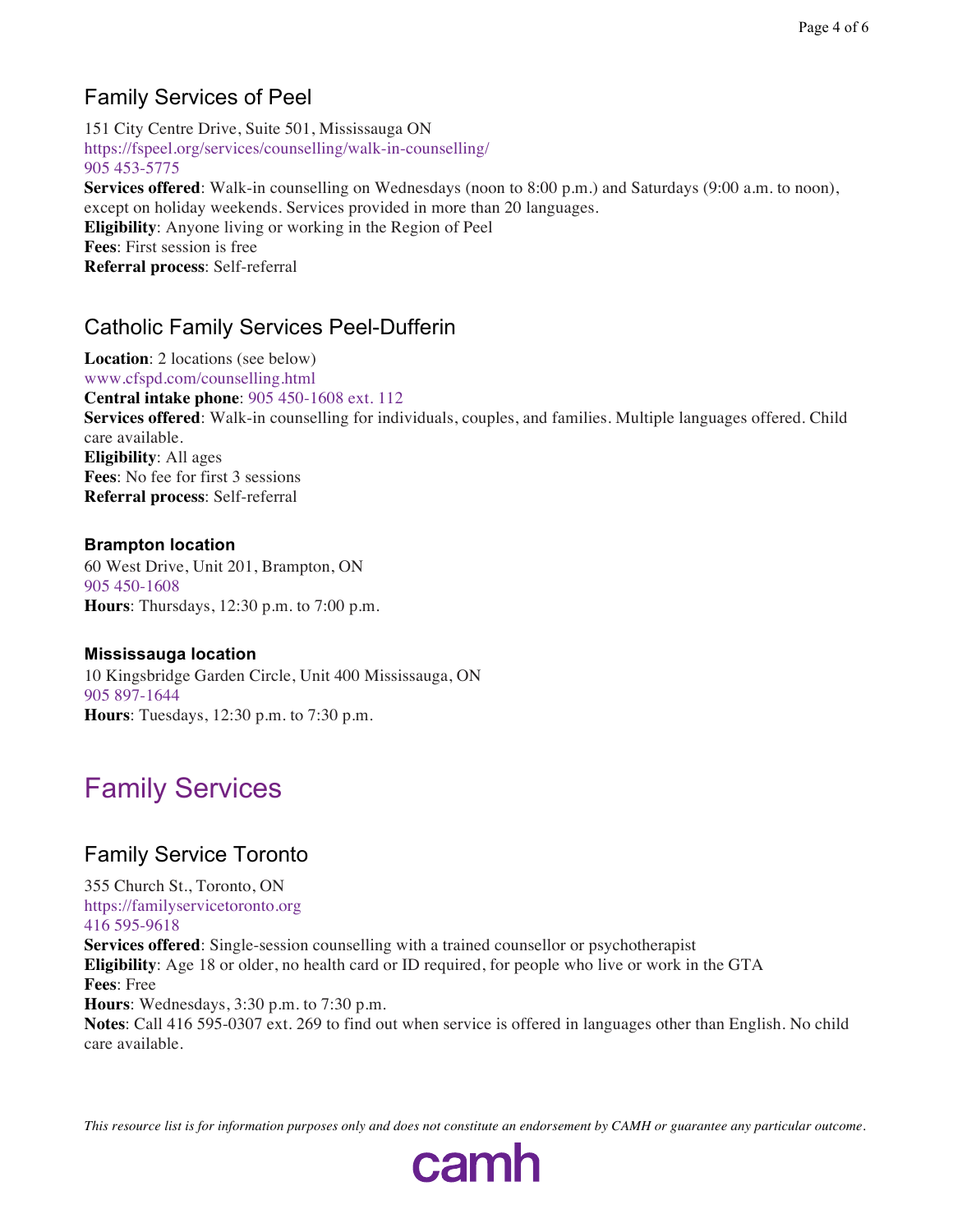## Family Services of Peel

151 City Centre Drive, Suite 501, Mississauga ON https://fspeel.org/services/counselling/walk-in-counselling/ 905 453-5775

**Services offered**: Walk-in counselling on Wednesdays (noon to 8:00 p.m.) and Saturdays (9:00 a.m. to noon), except on holiday weekends. Services provided in more than 20 languages. **Eligibility**: Anyone living or working in the Region of Peel **Fees**: First session is free **Referral process**: Self-referral

## Catholic Family Services Peel-Dufferin

**Location**: 2 locations (see below) www.cfspd.com/counselling.html **Central intake phone**: 905 450-1608 ext. 112 **Services offered**: Walk-in counselling for individuals, couples, and families. Multiple languages offered. Child care available. **Eligibility**: All ages **Fees**: No fee for first 3 sessions **Referral process**: Self-referral

#### **Brampton location** 60 West Drive, Unit 201, Brampton, ON 905 450-1608

**Hours**: Thursdays, 12:30 p.m. to 7:00 p.m.

#### **Mississauga location**

10 Kingsbridge Garden Circle, Unit 400 Mississauga, ON 905 897-1644 **Hours**: Tuesdays, 12:30 p.m. to 7:30 p.m.

## Family Services

## Family Service Toronto

355 Church St., Toronto, ON https://familyservicetoronto.org 416 595-9618

**Services offered**: Single-session counselling with a trained counsellor or psychotherapist **Eligibility**: Age 18 or older, no health card or ID required, for people who live or work in the GTA **Fees**: Free **Hours**: Wednesdays, 3:30 p.m. to 7:30 p.m. **Notes**: Call 416 595-0307 ext. 269 to find out when service is offered in languages other than English. No child care available.

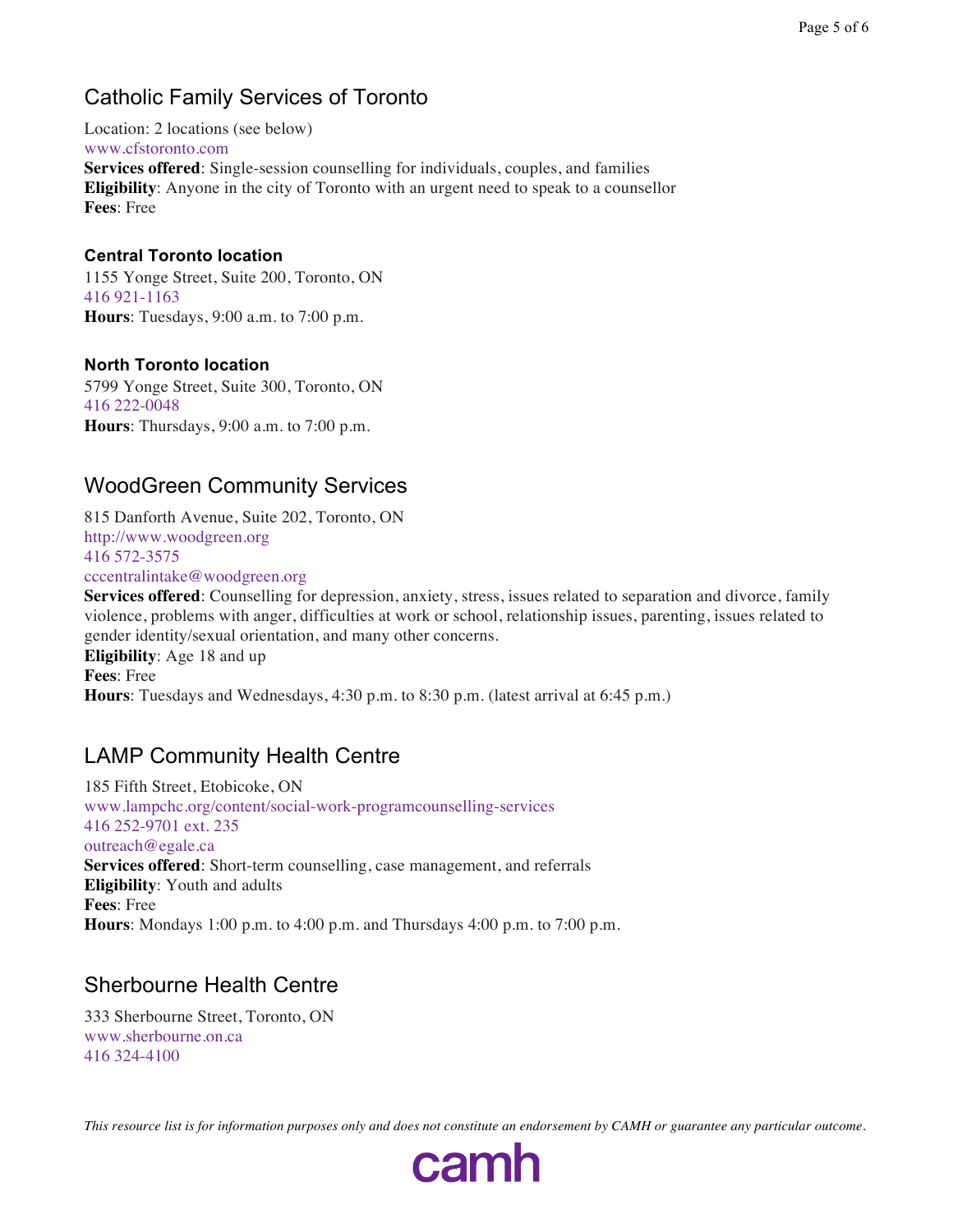## Catholic Family Services of Toronto

Location: 2 locations (see below) www.cfstoronto.com **Services offered**: Single-session counselling for individuals, couples, and families **Eligibility**: Anyone in the city of Toronto with an urgent need to speak to a counsellor **Fees**: Free

#### **Central Toronto location**

1155 Yonge Street, Suite 200, Toronto, ON 416 921-1163 **Hours**: Tuesdays, 9:00 a.m. to 7:00 p.m.

#### **North Toronto location**

5799 Yonge Street, Suite 300, Toronto, ON 416 222-0048 **Hours**: Thursdays, 9:00 a.m. to 7:00 p.m.

## WoodGreen Community Services

815 Danforth Avenue, Suite 202, Toronto, ON http://www.woodgreen.org 416 572-3575 cccentralintake@woodgreen.org

**Services offered**: Counselling for depression, anxiety, stress, issues related to separation and divorce, family violence, problems with anger, difficulties at work or school, relationship issues, parenting, issues related to gender identity/sexual orientation, and many other concerns. **Eligibility**: Age 18 and up **Fees**: Free **Hours**: Tuesdays and Wednesdays, 4:30 p.m. to 8:30 p.m. (latest arrival at 6:45 p.m.)

## LAMP Community Health Centre

185 Fifth Street, Etobicoke, ON www.lampchc.org/content/social-work-programcounselling-services 416 252-9701 ext. 235 outreach@egale.ca **Services offered**: Short-term counselling, case management, and referrals **Eligibility**: Youth and adults **Fees**: Free **Hours**: Mondays 1:00 p.m. to 4:00 p.m. and Thursdays 4:00 p.m. to 7:00 p.m.

### Sherbourne Health Centre

333 Sherbourne Street, Toronto, ON www.sherbourne.on.ca 416 324-4100